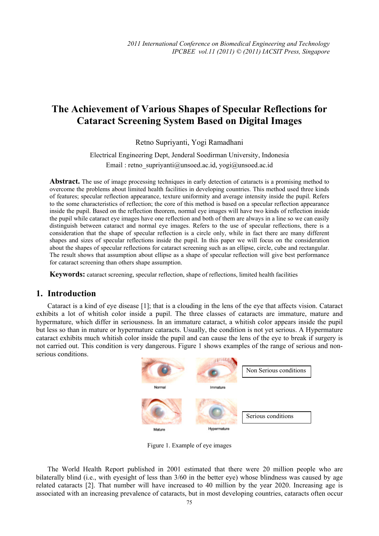# **The Achievement of Various Shapes of Specular Reflections for Cataract Screening System Based on Digital Images**

Retno Supriyanti, Yogi Ramadhani

Electrical Engineering Dept, Jenderal Soedirman University, Indonesia Email : retno\_supriyanti@unsoed.ac.id, yogi@unsoed.ac.id

Abstract. The use of image processing techniques in early detection of cataracts is a promising method to overcome the problems about limited health facilities in developing countries. This method used three kinds of features; specular reflection appearance, texture uniformity and average intensity inside the pupil. Refers to the some characteristics of reflection; the core of this method is based on a specular reflection appearance inside the pupil. Based on the reflection theorem, normal eye images will have two kinds of reflection inside the pupil while cataract eye images have one reflection and both of them are always in a line so we can easily distinguish between cataract and normal eye images. Refers to the use of specular reflections, there is a consideration that the shape of specular reflection is a circle only, while in fact there are many different shapes and sizes of specular reflections inside the pupil. In this paper we will focus on the consideration about the shapes of specular reflections for cataract screening such as an ellipse, circle, cube and rectangular. The result shows that assumption about ellipse as a shape of specular reflection will give best performance for cataract screening than others shape assumption.

**Keywords:** cataract screening, specular reflection, shape of reflections, limited health facilities

## **1. Introduction**

Cataract is a kind of eye disease [1]; that is a clouding in the lens of the eye that affects vision. Cataract exhibits a lot of whitish color inside a pupil. The three classes of cataracts are immature, mature and hypermature, which differ in seriousness. In an immature cataract, a whitish color appears inside the pupil but less so than in mature or hypermature cataracts. Usually, the condition is not yet serious. A Hypermature cataract exhibits much whitish color inside the pupil and can cause the lens of the eye to break if surgery is not carried out. This condition is very dangerous. Figure 1 shows examples of the range of serious and nonserious conditions.



Figure 1. Example of eye images

The World Health Report published in 2001 estimated that there were 20 million people who are bilaterally blind (i.e., with eyesight of less than 3/60 in the better eye) whose blindness was caused by age related cataracts [2]. That number will have increased to 40 million by the year 2020. Increasing age is associated with an increasing prevalence of cataracts, but in most developing countries, cataracts often occur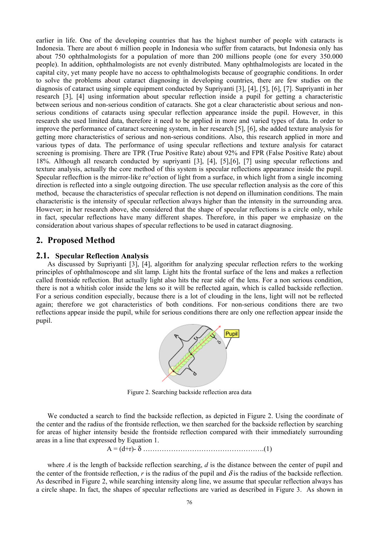earlier in life. One of the developing countries that has the highest number of people with cataracts is Indonesia. There are about 6 million people in Indonesia who suffer from cataracts, but Indonesia only has about 750 ophthalmologists for a population of more than 200 millions people (one for every 350.000 people). In addition, ophthalmologists are not evenly distributed. Many ophthalmologists are located in the capital city, yet many people have no access to ophthalmologists because of geographic conditions. In order to solve the problems about cataract diagnosing in developing countries, there are few studies on the diagnosis of cataract using simple equipment conducted by Supriyanti [3], [4], [5], [6], [7]. Supriyanti in her research [3], [4] using information about specular reflection inside a pupil for getting a characteristic between serious and non-serious condition of cataracts. She got a clear characteristic about serious and nonserious conditions of cataracts using specular reflection appearance inside the pupil. However, in this research she used limited data, therefore it need to be applied in more and varied types of data. In order to improve the performance of cataract screening system, in her research [5], [6], she added texture analysis for getting more characteristics of serious and non-serious conditions. Also, this research applied in more and various types of data. The performance of using specular reflections and texture analysis for cataract screening is promising. There are TPR (True Positive Rate) about 92% and FPR (False Positive Rate) about 18%. Although all research conducted by supriyanti [3], [4], [5],[6], [7] using specular reflections and texture analysis, actually the core method of this system is specular reflections appearance inside the pupil. Specular reflecftion is the mirror-like re°ection of light from a surface, in which light from a single incoming direction is reflected into a single outgoing direction. The use specular reflection analysis as the core of this method, because the characteristics of specular reflection is not depend on illumination conditions. The main characteristic is the intensity of specular reflection always higher than the intensity in the surrounding area. However; in her research above, she considered that the shape of specular reflections is a circle only, while in fact, specular reflections have many different shapes. Therefore, in this paper we emphasize on the consideration about various shapes of specular reflections to be used in cataract diagnosing.

## **2. Proposed Method**

#### **2.1. Specular Reflection Analysis**

As discussed by Supriyanti [3], [4], algorithm for analyzing specular reflection refers to the working principles of ophthalmoscope and slit lamp. Light hits the frontal surface of the lens and makes a reflection called frontside reflection. But actually light also hits the rear side of the lens. For a non serious condition, there is not a whitish color inside the lens so it will be reflected again, which is called backside reflection. For a serious condition especially, because there is a lot of clouding in the lens, light will not be reflected again; therefore we got characteristics of both conditions. For non-serious conditions there are two reflections appear inside the pupil, while for serious conditions there are only one reflection appear inside the pupil.



Figure 2. Searching backside reflection area data

We conducted a search to find the backside reflection, as depicted in Figure 2. Using the coordinate of the center and the radius of the frontside reflection, we then searched for the backside reflection by searching for areas of higher intensity beside the frontside reflection compared with their immediately surrounding areas in a line that expressed by Equation 1.

A = (d+r)- δ …………………………………………….(1)

where *A* is the length of backside reflection searching, *d* is the distance between the center of pupil and the center of the frontside reflection, *r* is the radius of the pupil and  $\delta$  is the radius of the backside reflection. As described in Figure 2, while searching intensity along line, we assume that specular reflection always has a circle shape. In fact, the shapes of specular reflections are varied as described in Figure 3. As shown in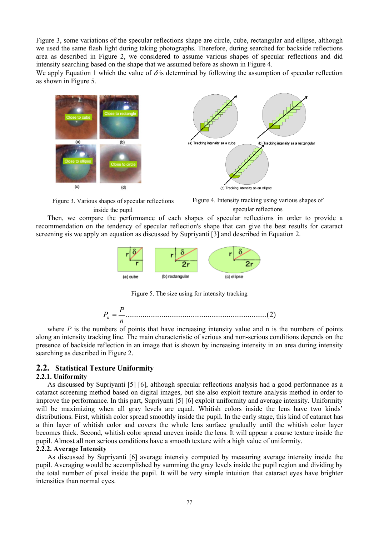Figure 3, some variations of the specular reflections shape are circle, cube, rectangular and ellipse, although we used the same flash light during taking photographs. Therefore, during searched for backside reflections area as described in Figure 2, we considered to assume various shapes of specular reflections and did intensity searching based on the shape that we assumed before as shown in Figure 4.

We apply Equation 1 which the value of  $\delta$  is determined by following the assumption of specular reflection as shown in Figure 5.





Figure 3. Various shapes of specular reflections inside the pupil

Figure 4. Intensity tracking using various shapes of specular reflections

Then, we compare the performance of each shapes of specular reflections in order to provide a recommendation on the tendency of specular reflection's shape that can give the best results for cataract screening sis we apply an equation as discussed by Supriyanti [3] and described in Equation 2.



Figure 5. The size using for intensity tracking



where  $P$  is the numbers of points that have increasing intensity value and n is the numbers of points along an intensity tracking line. The main characteristic of serious and non-serious conditions depends on the presence of backside reflection in an image that is shown by increasing intensity in an area during intensity searching as described in Figure 2.

### **2.2. Statistical Texture Uniformity**

#### **2.2.1. Uniformity**

As discussed by Supriyanti [5] [6], although specular reflections analysis had a good performance as a cataract screening method based on digital images, but she also exploit texture analysis method in order to improve the performance. In this part, Supriyanti [5] [6] exploit uniformity and average intensity. Uniformity will be maximizing when all gray levels are equal. Whitish colors inside the lens have two kinds' distributions. First, whitish color spread smoothly inside the pupil. In the early stage, this kind of cataract has a thin layer of whitish color and covers the whole lens surface gradually until the whitish color layer becomes thick. Second, whitish color spread uneven inside the lens. It will appear a coarse texture inside the pupil. Almost all non serious conditions have a smooth texture with a high value of uniformity.

#### **2.2.2. Average Intensity**

As discussed by Supriyanti [6] average intensity computed by measuring average intensity inside the pupil. Averaging would be accomplished by summing the gray levels inside the pupil region and dividing by the total number of pixel inside the pupil. It will be very simple intuition that cataract eyes have brighter intensities than normal eyes.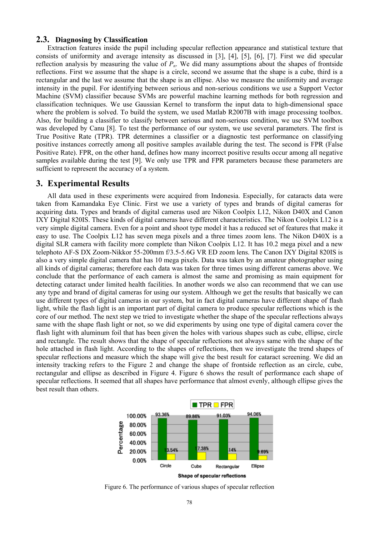#### **2.3. Diagnosing by Classification**

Extraction features inside the pupil including specular reflection appearance and statistical texture that consists of uniformity and average intensity as discussed in [3], [4], [5], [6], [7]. First we did specular reflection analysis by measuring the value of  $P_n$ . We did many assumptions about the shapes of frontside reflections. First we assume that the shape is a circle, second we assume that the shape is a cube, third is a rectangular and the last we assume that the shape is an ellipse. Also we measure the uniformity and average intensity in the pupil. For identifying between serious and non-serious conditions we use a Support Vector Machine (SVM) classifier because SVMs are powerful machine learning methods for both regression and classification techniques. We use Gaussian Kernel to transform the input data to high-dimensional space where the problem is solved. To build the system, we used Matlab R2007B with image processing toolbox. Also, for building a classifier to classify between serious and non-serious condition, we use SVM toolbox was developed by Canu [8]. To test the performance of our system, we use several parameters. The first is True Positive Rate (TPR). TPR determines a classifier or a diagnostic test performance on classifying positive instances correctly among all positive samples available during the test. The second is FPR (False Positive Rate). FPR, on the other hand, defines how many incorrect positive results occur among all negative samples available during the test [9]. We only use TPR and FPR parameters because these parameters are sufficient to represent the accuracy of a system.

#### **3. Experimental Results**

All data used in these experiments were acquired from Indonesia. Especially, for cataracts data were taken from Kamandaka Eye Clinic. First we use a variety of types and brands of digital cameras for acquiring data. Types and brands of digital cameras used are Nikon Coolpix L12, Nikon D40X and Canon IXY Digital 820IS. These kinds of digital cameras have different characteristics. The Nikon Coolpix L12 is a very simple digital camera. Even for a point and shoot type model it has a reduced set of features that make it easy to use. The Coolpix L12 has seven mega pixels and a three times zoom lens. The Nikon D40X is a digital SLR camera with facility more complete than Nikon Coolpix L12. It has 10.2 mega pixel and a new telephoto AF-S DX Zoom-Nikkor 55-200mm f/3.5-5.6G VR ED zoom lens. The Canon IXY Digital 820IS is also a very simple digital camera that has 10 mega pixels. Data was taken by an amateur photographer using all kinds of digital cameras; therefore each data was taken for three times using different cameras above. We conclude that the performance of each camera is almost the same and promising as main equipment for detecting cataract under limited health facilities. In another words we also can recommend that we can use any type and brand of digital cameras for using our system. Although we get the results that basically we can use different types of digital cameras in our system, but in fact digital cameras have different shape of flash light, while the flash light is an important part of digital camera to produce specular reflections which is the core of our method. The next step we tried to investigate whether the shape of the specular reflections always same with the shape flash light or not, so we did experiments by using one type of digital camera cover the flash light with aluminum foil that has been given the holes with various shapes such as cube, ellipse, circle and rectangle. The result shows that the shape of specular reflections not always same with the shape of the hole attached in flash light. According to the shapes of reflections, then we investigate the trend shapes of specular reflections and measure which the shape will give the best result for cataract screening. We did an intensity tracking refers to the Figure 2 and change the shape of frontside reflection as an circle, cube, rectangular and ellipse as described in Figure 4. Figure 6 shows the result of performance each shape of specular reflections. It seemed that all shapes have performance that almost evenly, although ellipse gives the best result than others.



Figure 6. The performance of various shapes of specular reflection